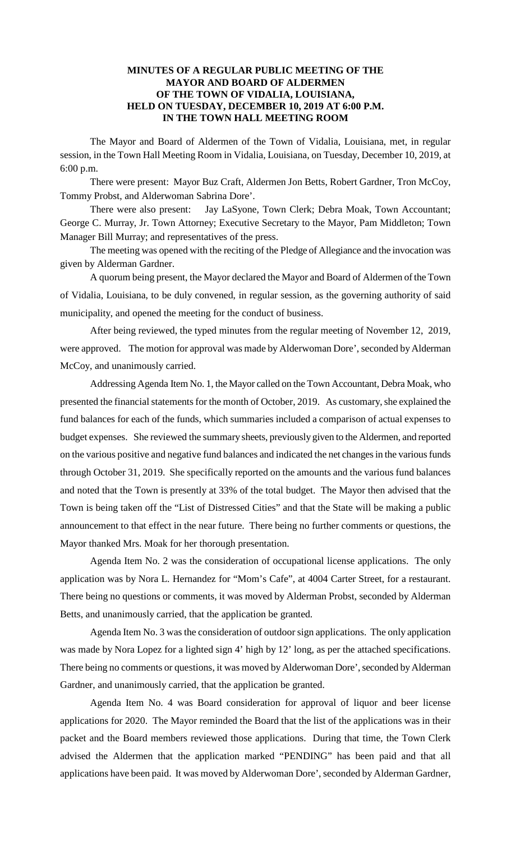### **MINUTES OF A REGULAR PUBLIC MEETING OF THE MAYOR AND BOARD OF ALDERMEN OF THE TOWN OF VIDALIA, LOUISIANA, HELD ON TUESDAY, DECEMBER 10, 2019 AT 6:00 P.M. IN THE TOWN HALL MEETING ROOM**

The Mayor and Board of Aldermen of the Town of Vidalia, Louisiana, met, in regular session, in the Town Hall Meeting Room in Vidalia, Louisiana, on Tuesday, December 10, 2019, at 6:00 p.m.

There were present: Mayor Buz Craft, Aldermen Jon Betts, Robert Gardner, Tron McCoy, Tommy Probst, and Alderwoman Sabrina Dore'.

There were also present: Jay LaSyone, Town Clerk; Debra Moak, Town Accountant; George C. Murray, Jr. Town Attorney; Executive Secretary to the Mayor, Pam Middleton; Town Manager Bill Murray; and representatives of the press.

The meeting was opened with the reciting of the Pledge of Allegiance and the invocation was given by Alderman Gardner.

A quorum being present, the Mayor declared the Mayor and Board of Aldermen of the Town of Vidalia, Louisiana, to be duly convened, in regular session, as the governing authority of said municipality, and opened the meeting for the conduct of business.

After being reviewed, the typed minutes from the regular meeting of November 12, 2019, were approved. The motion for approval was made by Alderwoman Dore', seconded by Alderman McCoy, and unanimously carried.

Addressing Agenda Item No. 1, the Mayor called on the Town Accountant, Debra Moak, who presented the financial statements for the month of October, 2019. As customary, she explained the fund balances for each of the funds, which summaries included a comparison of actual expenses to budget expenses. She reviewed the summary sheets, previously given to the Aldermen, and reported on the various positive and negative fund balances and indicated the net changes in the various funds through October 31, 2019. She specifically reported on the amounts and the various fund balances and noted that the Town is presently at 33% of the total budget. The Mayor then advised that the Town is being taken off the "List of Distressed Cities" and that the State will be making a public announcement to that effect in the near future. There being no further comments or questions, the Mayor thanked Mrs. Moak for her thorough presentation.

Agenda Item No. 2 was the consideration of occupational license applications. The only application was by Nora L. Hernandez for "Mom's Cafe", at 4004 Carter Street, for a restaurant. There being no questions or comments, it was moved by Alderman Probst, seconded by Alderman Betts, and unanimously carried, that the application be granted.

Agenda Item No. 3 was the consideration of outdoor sign applications. The only application was made by Nora Lopez for a lighted sign 4' high by 12' long, as per the attached specifications. There being no comments or questions, it was moved by Alderwoman Dore', seconded by Alderman Gardner, and unanimously carried, that the application be granted.

Agenda Item No. 4 was Board consideration for approval of liquor and beer license applications for 2020. The Mayor reminded the Board that the list of the applications was in their packet and the Board members reviewed those applications. During that time, the Town Clerk advised the Aldermen that the application marked "PENDING" has been paid and that all applications have been paid. It was moved by Alderwoman Dore', seconded by Alderman Gardner,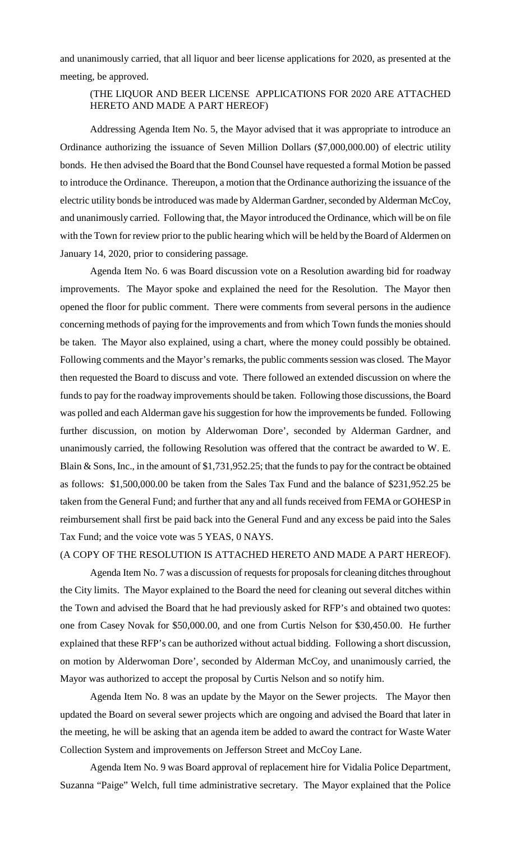and unanimously carried, that all liquor and beer license applications for 2020, as presented at the meeting, be approved.

### (THE LIQUOR AND BEER LICENSE APPLICATIONS FOR 2020 ARE ATTACHED HERETO AND MADE A PART HEREOF)

Addressing Agenda Item No. 5, the Mayor advised that it was appropriate to introduce an Ordinance authorizing the issuance of Seven Million Dollars (\$7,000,000.00) of electric utility bonds. He then advised the Board that the Bond Counsel have requested a formal Motion be passed to introduce the Ordinance. Thereupon, a motion that the Ordinance authorizing the issuance of the electric utility bonds be introduced was made by Alderman Gardner, seconded by Alderman McCoy, and unanimously carried. Following that, the Mayor introduced the Ordinance, which will be on file with the Town for review prior to the public hearing which will be held by the Board of Aldermen on January 14, 2020, prior to considering passage.

Agenda Item No. 6 was Board discussion vote on a Resolution awarding bid for roadway improvements. The Mayor spoke and explained the need for the Resolution. The Mayor then opened the floor for public comment. There were comments from several persons in the audience concerning methods of paying for the improvements and from which Town funds the monies should be taken. The Mayor also explained, using a chart, where the money could possibly be obtained. Following comments and the Mayor's remarks, the public comments session was closed. The Mayor then requested the Board to discuss and vote. There followed an extended discussion on where the funds to pay for the roadway improvements should be taken. Following those discussions, the Board was polled and each Alderman gave his suggestion for how the improvements be funded. Following further discussion, on motion by Alderwoman Dore', seconded by Alderman Gardner, and unanimously carried, the following Resolution was offered that the contract be awarded to W. E. Blain & Sons, Inc., in the amount of \$1,731,952.25; that the funds to pay for the contract be obtained as follows: \$1,500,000.00 be taken from the Sales Tax Fund and the balance of \$231,952.25 be taken from the General Fund; and further that any and all funds received from FEMA or GOHESP in reimbursement shall first be paid back into the General Fund and any excess be paid into the Sales Tax Fund; and the voice vote was 5 YEAS, 0 NAYS.

### (A COPY OF THE RESOLUTION IS ATTACHED HERETO AND MADE A PART HEREOF).

Agenda Item No. 7 was a discussion of requests for proposals for cleaning ditches throughout the City limits. The Mayor explained to the Board the need for cleaning out several ditches within the Town and advised the Board that he had previously asked for RFP's and obtained two quotes: one from Casey Novak for \$50,000.00, and one from Curtis Nelson for \$30,450.00. He further explained that these RFP's can be authorized without actual bidding. Following a short discussion, on motion by Alderwoman Dore', seconded by Alderman McCoy, and unanimously carried, the Mayor was authorized to accept the proposal by Curtis Nelson and so notify him.

Agenda Item No. 8 was an update by the Mayor on the Sewer projects. The Mayor then updated the Board on several sewer projects which are ongoing and advised the Board that later in the meeting, he will be asking that an agenda item be added to award the contract for Waste Water Collection System and improvements on Jefferson Street and McCoy Lane.

Agenda Item No. 9 was Board approval of replacement hire for Vidalia Police Department, Suzanna "Paige" Welch, full time administrative secretary. The Mayor explained that the Police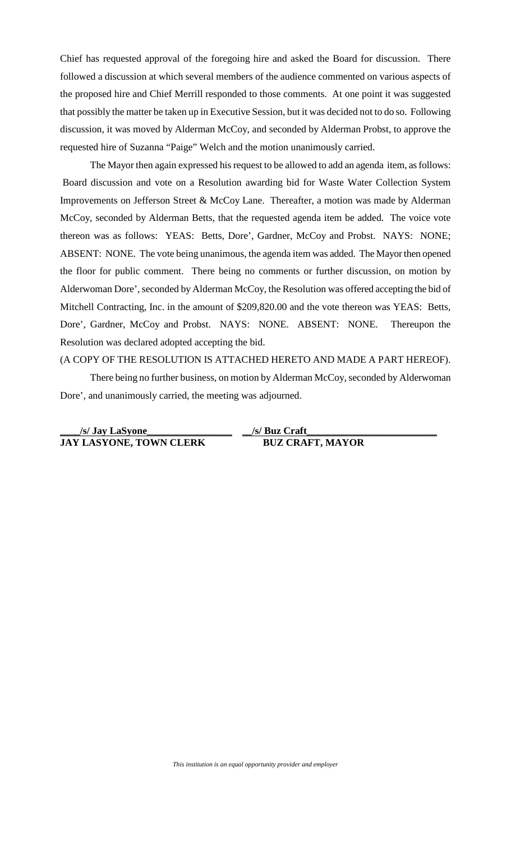Chief has requested approval of the foregoing hire and asked the Board for discussion. There followed a discussion at which several members of the audience commented on various aspects of the proposed hire and Chief Merrill responded to those comments. At one point it was suggested that possibly the matter be taken up in Executive Session, but it was decided not to do so. Following discussion, it was moved by Alderman McCoy, and seconded by Alderman Probst, to approve the requested hire of Suzanna "Paige" Welch and the motion unanimously carried.

The Mayor then again expressed his request to be allowed to add an agenda item, as follows: Board discussion and vote on a Resolution awarding bid for Waste Water Collection System Improvements on Jefferson Street & McCoy Lane. Thereafter, a motion was made by Alderman McCoy, seconded by Alderman Betts, that the requested agenda item be added. The voice vote thereon was as follows: YEAS: Betts, Dore', Gardner, McCoy and Probst. NAYS: NONE; ABSENT: NONE. The vote being unanimous, the agenda item was added. The Mayor then opened the floor for public comment. There being no comments or further discussion, on motion by Alderwoman Dore', seconded by Alderman McCoy, the Resolution was offered accepting the bid of Mitchell Contracting, Inc. in the amount of \$209,820.00 and the vote thereon was YEAS: Betts, Dore', Gardner, McCoy and Probst. NAYS: NONE. ABSENT: NONE. Thereupon the Resolution was declared adopted accepting the bid.

#### (A COPY OF THE RESOLUTION IS ATTACHED HERETO AND MADE A PART HEREOF).

There being no further business, on motion by Alderman McCoy, seconded by Alderwoman Dore', and unanimously carried, the meeting was adjourned.

| /s/ Jay LaSyone                | /s/ Buz Craft           |
|--------------------------------|-------------------------|
| <b>JAY LASYONE, TOWN CLERK</b> | <b>BUZ CRAFT, MAYOR</b> |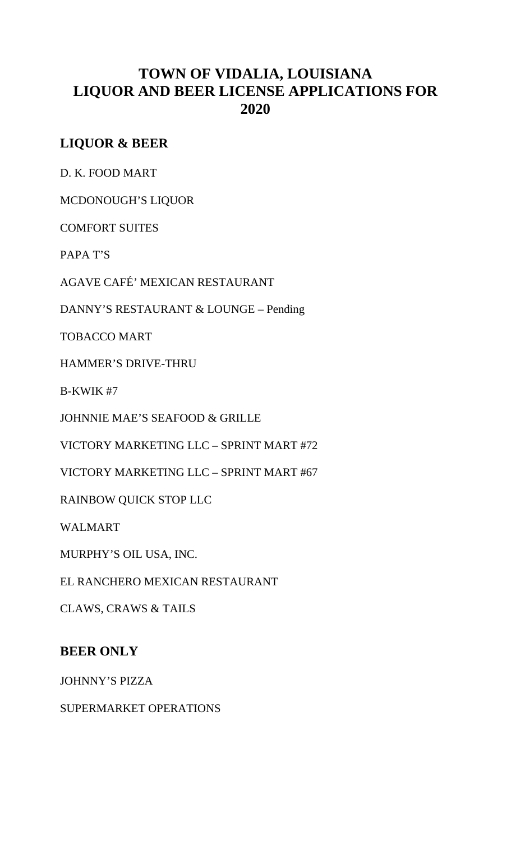# **TOWN OF VIDALIA, LOUISIANA LIQUOR AND BEER LICENSE APPLICATIONS FOR 2020**

# **LIQUOR & BEER**

D. K. FOOD MART

MCDONOUGH'S LIQUOR

COMFORT SUITES

PAPA T'S

AGAVE CAFÉ' MEXICAN RESTAURANT

DANNY'S RESTAURANT & LOUNGE – Pending

TOBACCO MART

HAMMER'S DRIVE-THRU

B-KWIK #7

JOHNNIE MAE'S SEAFOOD & GRILLE

VICTORY MARKETING LLC – SPRINT MART #72

VICTORY MARKETING LLC – SPRINT MART #67

RAINBOW QUICK STOP LLC

WALMART

MURPHY'S OIL USA, INC.

EL RANCHERO MEXICAN RESTAURANT

CLAWS, CRAWS & TAILS

## **BEER ONLY**

JOHNNY'S PIZZA

SUPERMARKET OPERATIONS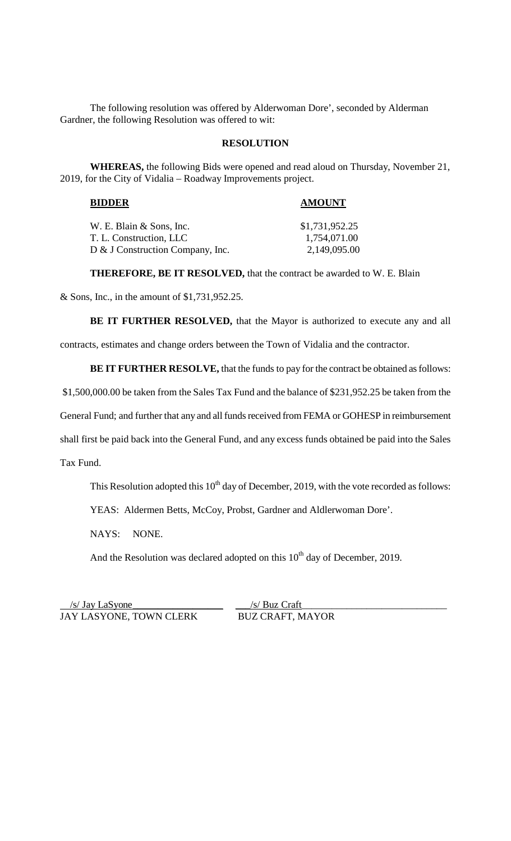The following resolution was offered by Alderwoman Dore', seconded by Alderman Gardner, the following Resolution was offered to wit:

#### **RESOLUTION**

**WHEREAS,** the following Bids were opened and read aloud on Thursday, November 21, 2019, for the City of Vidalia – Roadway Improvements project.

### **BIDDER AMOUNT**

| W. E. Blain & Sons, Inc.         | \$1,731,952.25 |
|----------------------------------|----------------|
| T. L. Construction, LLC          | 1,754,071.00   |
| D & J Construction Company, Inc. | 2,149,095.00   |

**THEREFORE, BE IT RESOLVED,** that the contract be awarded to W. E. Blain

& Sons, Inc., in the amount of \$1,731,952.25.

BE IT FURTHER RESOLVED, that the Mayor is authorized to execute any and all

contracts, estimates and change orders between the Town of Vidalia and the contractor.

**BE IT FURTHER RESOLVE,** that the funds to pay for the contract be obtained as follows:

\$1,500,000.00 be taken from the Sales Tax Fund and the balance of \$231,952.25 be taken from the

General Fund; and further that any and all funds received from FEMA or GOHESP in reimbursement

shall first be paid back into the General Fund, and any excess funds obtained be paid into the Sales

Tax Fund.

This Resolution adopted this  $10^{th}$  day of December, 2019, with the vote recorded as follows:

YEAS: Aldermen Betts, McCoy, Probst, Gardner and Aldlerwoman Dore'.

NAYS: NONE.

And the Resolution was declared adopted on this  $10<sup>th</sup>$  day of December, 2019.

 /s/ Jay LaSyone\_\_\_\_\_\_\_\_\_\_\_\_\_\_\_\_\_\_ \_\_\_/s/ Buz Craft\_\_\_\_\_\_\_\_\_\_\_\_\_\_\_\_\_\_\_\_\_\_\_\_\_\_\_\_\_ JAY LASYONE, TOWN CLERK BUZ CRAFT, MAYOR